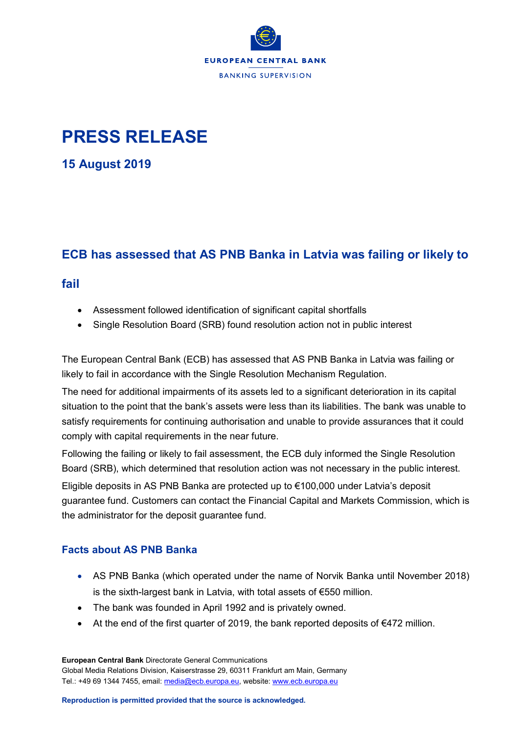

# **PRESS RELEASE**

**15 August 2019**

## **ECB has assessed that AS PNB Banka in Latvia was failing or likely to**

### **fail**

- Assessment followed identification of significant capital shortfalls
- Single Resolution Board (SRB) found resolution action not in public interest

The European Central Bank (ECB) has assessed that AS PNB Banka in Latvia was failing or likely to fail in accordance with the Single Resolution Mechanism Regulation.

The need for additional impairments of its assets led to a significant deterioration in its capital situation to the point that the bank's assets were less than its liabilities. The bank was unable to satisfy requirements for continuing authorisation and unable to provide assurances that it could comply with capital requirements in the near future.

Following the failing or likely to fail assessment, the ECB duly informed the Single Resolution Board (SRB), which determined that resolution action was not necessary in the public interest. Eligible deposits in AS PNB Banka are protected up to €100,000 under Latvia's deposit guarantee fund. Customers can contact the Financial Capital and Markets Commission, which is the administrator for the deposit guarantee fund.

#### **Facts about AS PNB Banka**

- AS PNB Banka (which operated under the name of Norvik Banka until November 2018) is the sixth-largest bank in Latvia, with total assets of €550 million.
- The bank was founded in April 1992 and is privately owned.
- At the end of the first quarter of 2019, the bank reported deposits of €472 million.

**European Central Bank** Directorate General Communications Global Media Relations Division, Kaiserstrasse 29, 60311 Frankfurt am Main, Germany Tel.: +49 69 1344 7455, email: [media@ecb.europa.eu,](mailto:media@ecb.europa.eu) website[: www.ecb.europa.eu](http://www.ecb.europa.eu/)